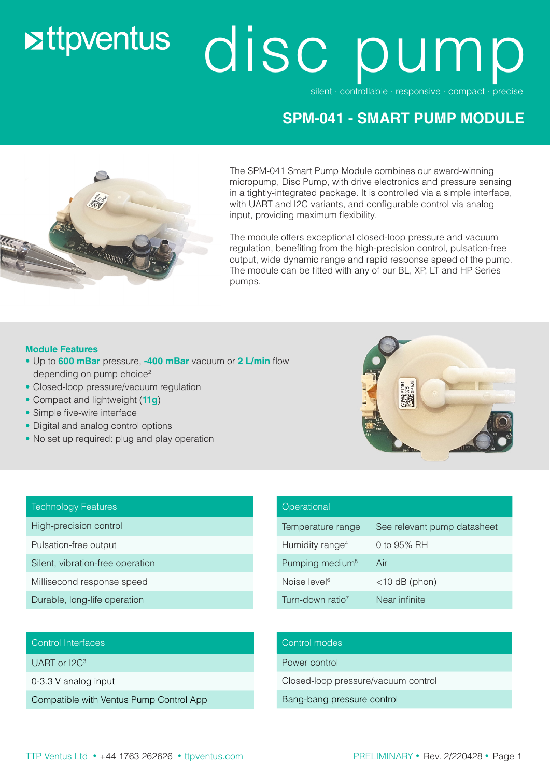# **Extraventus**

# disc pum

silent ∙ controllable ∙ responsive ∙ compact ∙ precise

### **SPM-041 - SMART PUMP MODULE**



The SPM-041 Smart Pump Module combines our award-winning micropump, Disc Pump, with drive electronics and pressure sensing in a tightly-integrated package. It is controlled via a simple interface, with UART and I2C variants, and configurable control via analog input, providing maximum flexibility.

The module offers exceptional closed-loop pressure and vacuum regulation, benefiting from the high-precision control, pulsation-free output, wide dynamic range and rapid response speed of the pump. The module can be fitted with any of our BL, XP, LT and HP Series pumps.

#### **Module Features**

- Up to **600 mBar** pressure, **-400 mBar** vacuum or **2 L/min** flow depending on pump choice<sup>2</sup>
- Closed-loop pressure/vacuum regulation
- Compact and lightweight (**11g**)
- Simple five-wire interface
- Digital and analog control options
- No set up required: plug and play operation



#### Technology Features

High-precision control

Pulsation-free output

Silent, vibration-free operation

- Millisecond response speed
- Durable, long-life operation

## **Operational** Temperature range See relevant pump datasheet Humidity range<sup>4</sup> 0 to 95% RH Pumping medium<sup>5</sup> Air Noise level  $\leq 10$  dB (phon) Turn-down ratio<sup>7</sup> Near infinite

#### Control Interfaces

UART or I2C<sup>3</sup>

0-3.3 V analog input

Compatible with Ventus Pump Control App

#### Control modes

Power control

Closed-loop pressure/vacuum control

Bang-bang pressure control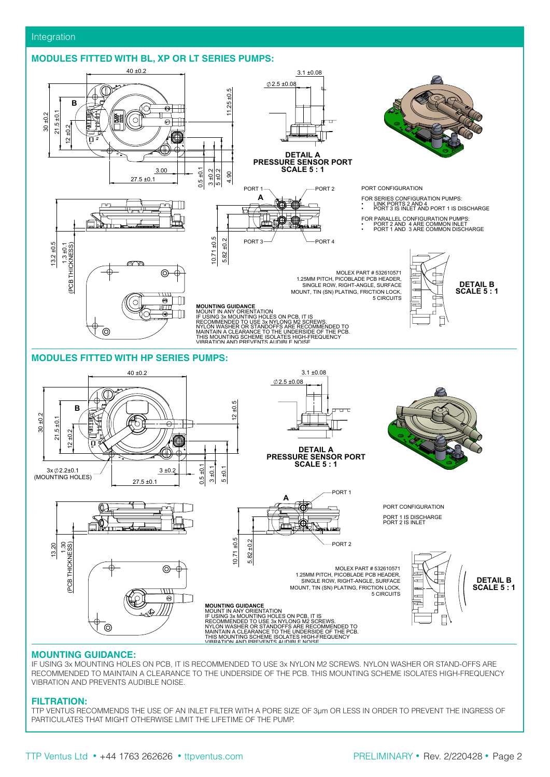#### **MODULES FITTED WITH BL, XP OR LT SERIES PUMPS:**  $\blacksquare$



FIRST ISSUE N/A 01 ALY 2012 12:00 PM and 2012 12:00 PM and 2012 12:00 PM and 2012 12:00 PM and 2012 12:00 PM and 2012 12:00 PM

27-01-22

#### **MOUNTING GUIDANCE:**

IT IS RECOMMENDED TO USE 3x NYLON M2 SCREWS. NYLON WASHER OR STAND-OFFS ARE IF USING 3X MOUNTING HOLES ON PCB, IT IS RECOMMENDED TO USE 3X NYLON M2 SCREWS. NYLON WASHER OR STAND-OFFS ARE<br>RECOMMENDED TO MAINTAIN A CLEARANCE TO THE UNDERSIDE OF THE PCB. THIS MOUNTING SCHEME ISOLATES HIGH-FREQUENCY<br>V **THE SOMMER BELS TO ME MAY MAY YOUR AND LIKE AND REVENTS AUDIBLE NOISE.** IF USING 3x MOUNTING HOLES ON PCB, IT IS RECOMMENDED TO USE 3x NYLON M2 SCREWS. NYLON WASHER OR STAND-OFFS ARE

#### **FILTRATION:**

TTP VENTUS RECOMMENDS THE USE OF AN INLET FILTER WITH A PORE SIZE OF 3μm OR LESS IN ORDER TO PREVENT THE INGRESS OF PARTICULATES THAT MIGHT OTHERWISE LIMIT THE LIFETIME OF THE PUMP.